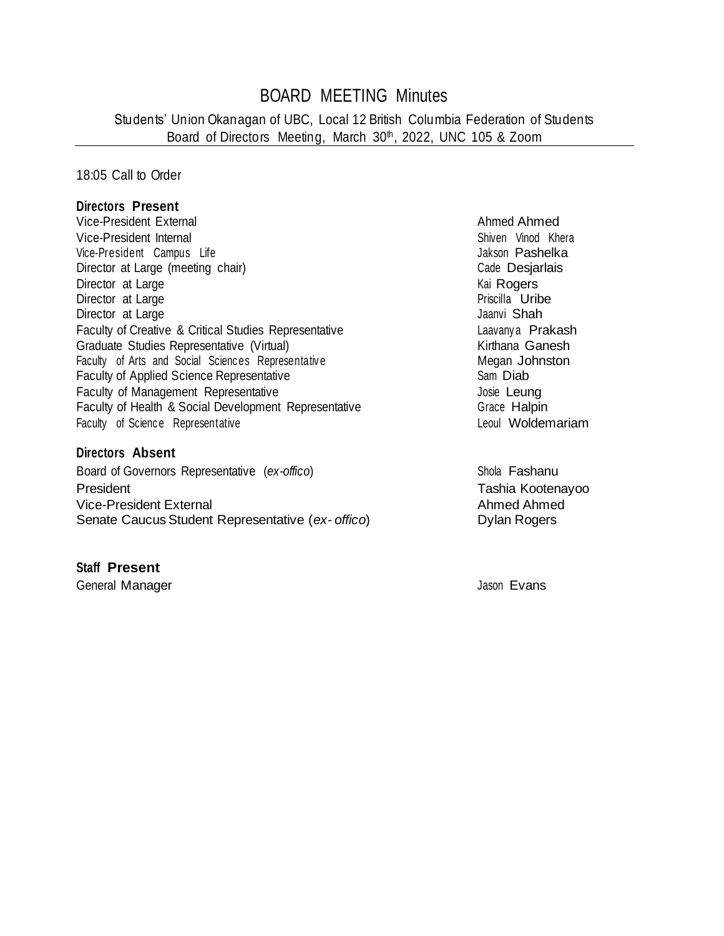# BOARD MEETING Minutes

Students' Union Okanagan of UBC, Local 12 British Columbia Federation of Students Board of Directors Meeting, March 30<sup>th</sup>, 2022, UNC 105 & Zoom

18:05 Call to Order

#### **Directors Present**

Vice-President External Ahmed Ahmed Ahmed Ahmed Ahmed Ahmed Ahmed Ahmed Ahmed Ahmed Ahmed Ahmed Ahmed Ahmed Ahmed Ahmed Ahmed Ahmed Ahmed Ahmed Ahmed Ahmed Ahmed Ahmed Ahmed Ahmed Ahmed Ahmed Ahmed Ahmed Ahmed Ahmed Ahmed Vice-President Internal Shiven Vinod Khera Shiven Vinod Khera Vice-President Campus Life **Jakson Pashelka** Director at Large (meeting chair) Calce Desjarlais Director at Large **Contracts and Contracts and Contracts and Contracts and Contracts and Contracts and Contracts**<br>
Director at Large **Contracts and Contracts and Contracts and Contracts and Contracts and Contracts and Cont** Director at Large **Priscilla Uribe**<br>Director at Large Priscilla Uribe Director at Large Faculty of Creative & Critical Studies Representative **Laavany a Richarge Francisc** Laavany a Prakash Graduate Studies Representative (Virtual)<br>
Faculty of Arts and Social Sciences Representative<br>
Megan Johnston Faculty of Arts and Social Sciences Representative Faculty of Applied Science Representative Sam Diab Faculty of Management Representative **Faculty** of Management Representative Faculty of Health & Social Development Representative Grace Grace Halpin Faculty of Science Representative **Example 2018** Leoul Woldemariam

#### **Directors Absent**

Board of Governors Representative (*ex-offico*) Shola Fashanu President Tashia Kootenayoo Vice-President External Ahmed Ahmed Ahmed Ahmed Ahmed Ahmed Ahmed Ahmed Ahmed Ahmed Ahmed Ahmed Ahmed Ahmed Ahmed Ahmed Ahmed Ahmed Ahmed Ahmed Ahmed Ahmed Ahmed Ahmed Ahmed Ahmed Ahmed Ahmed Ahmed Ahmed Ahmed Ahmed Ahmed Senate Caucus Student Representative (ex- offico) Dylan Rogers

#### **Staff Present**

General Manager Jason Evans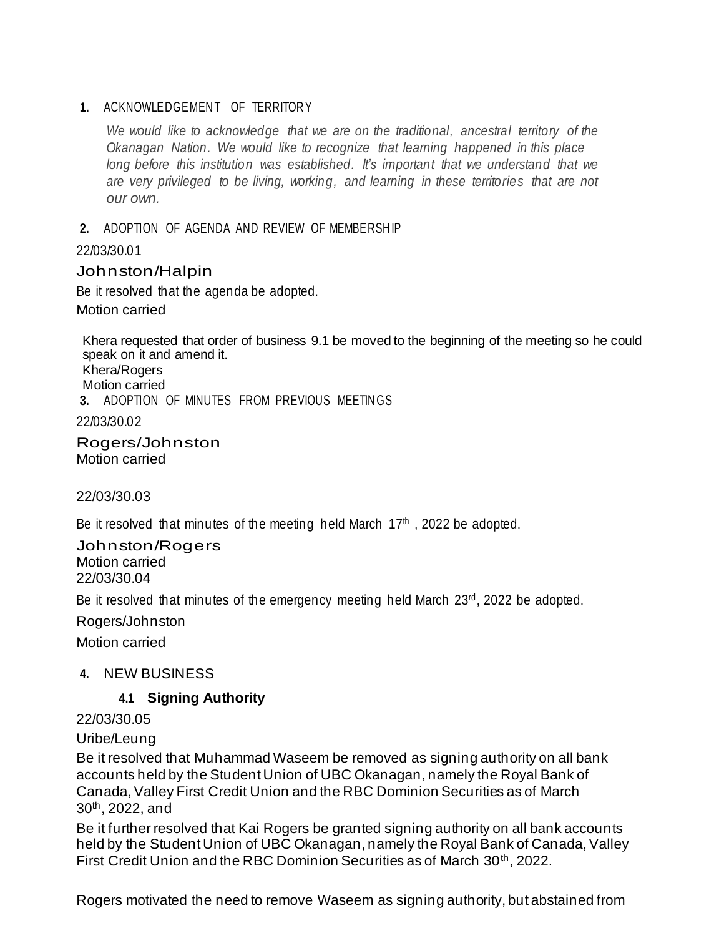### 1. ACKNOWLEDGEMENT OF TERRITORY

*We* would like to acknowledge that we are on the traditional, ancestral territory of the *Okanagan Nation. We would like to recognize that learning happened in this place long before this institution was established. It's important that we understand that we are very privileged to be living, working, and learning in these territories that are not our own.*

### **2.** ADOPTION OF AGENDA AND REVIEW OF MEMBERSHIP

22/03/30.01

### Johnston/Halpin

Be it resolved that the agenda be adopted. Motion carried

Khera requested that order of business 9.1 be moved to the beginning of the meeting so he could speak on it and amend it.

Khera/Rogers

Motion carried

**3.** ADOPTION OF MINUTES FROM PREVIOUS MEETIN GS

22/03/30.02

Rogers/Johnston Motion carried

22/03/30.03

Be it resolved that minutes of the meeting held March  $17<sup>th</sup>$ , 2022 be adopted.

Johnston/Rogers Motion carried 22/03/30.04

Be it resolved that minutes of the emergency meeting held March 23<sup>rd</sup>, 2022 be adopted.

Rogers/Johnston

Motion carried

### **4.** NEW BUSINESS

### **4.1 Signing Authority**

22/03/30.05

Uribe/Leung

Be it resolved that Muhammad Waseem be removed as signing authority on all bank accounts held by the Student Union of UBC Okanagan, namely the Royal Bank of Canada, Valley First Credit Union and the RBC Dominion Securities as of March 30th, 2022, and

Be it further resolved that Kai Rogers be granted signing authority on all bank accounts held by the Student Union of UBC Okanagan, namely the Royal Bank of Canada, Valley First Credit Union and the RBC Dominion Securities as of March 30<sup>th</sup>, 2022.

Rogers motivated the need to remove Waseem as signing authority, but abstained from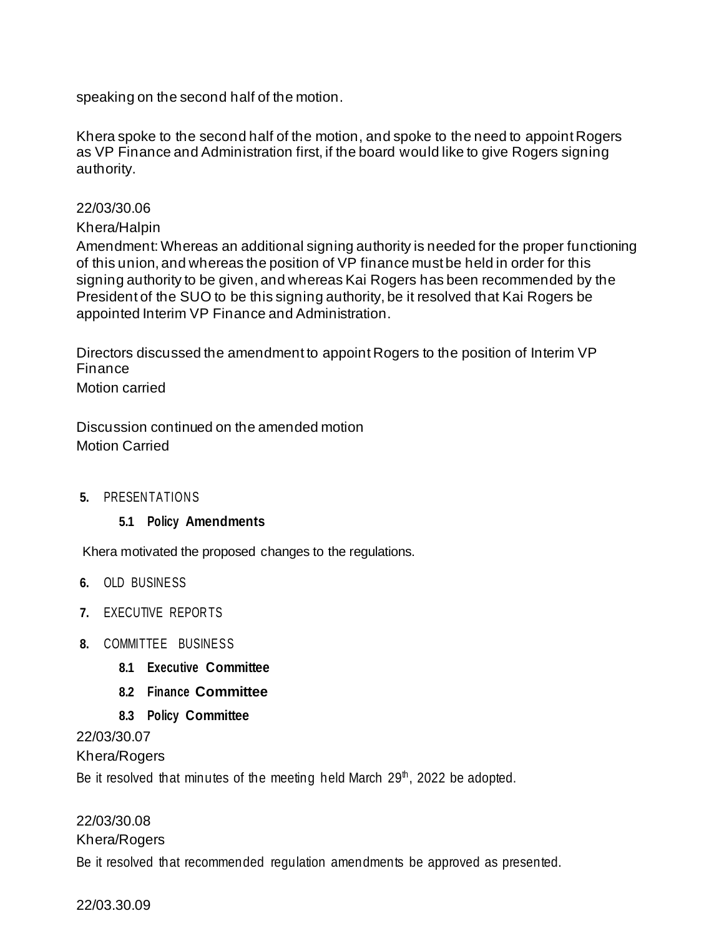speaking on the second half of the motion.

Khera spoke to the second half of the motion, and spoke to the need to appoint Rogers as VP Finance and Administration first, if the board would like to give Rogers signing authority.

### 22/03/30.06

### Khera/Halpin

Amendment: Whereas an additional signing authority is needed for the proper functioning of this union, and whereas the position of VP finance must be held in order for this signing authority to be given, and whereas Kai Rogers has been recommended by the President of the SUO to be this signing authority, be it resolved that Kai Rogers be appointed Interim VP Finance and Administration.

Directors discussed the amendment to appoint Rogers to the position of Interim VP Finance

Motion carried

Discussion continued on the amended motion Motion Carried

**5.** PRESEN TATION S

### **5.1 Policy Amendments**

Khera motivated the proposed changes to the regulations.

- **6.** OLD BUSINESS
- **7.** EXECUTIVE REPOR TS
- **8.** COMMITTEE BUSINESS
	- **8.1 Executive Committee**
	- **8.2 Finance Committee**
	- **8.3 Policy Committee**

22/03/30.07

Khera/Rogers

Be it resolved that minutes of the meeting held March  $29<sup>th</sup>$ , 2022 be adopted.

### 22/03/30.08

#### Khera/Rogers

Be it resolved that recommended regulation amendments be approved as presented.

22/03.30.09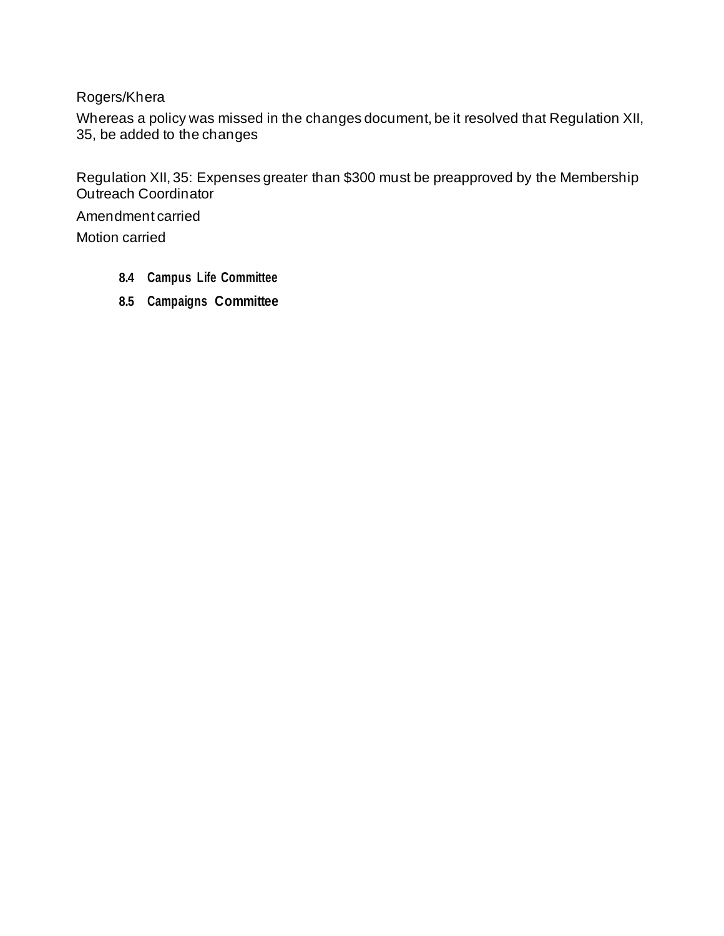Rogers/Khera

Whereas a policy was missed in the changes document, be it resolved that Regulation XII, 35, be added to the changes

Regulation XII, 35: Expenses greater than \$300 must be preapproved by the Membership Outreach Coordinator

Amendment carried

Motion carried

- **8.4 Campus Life Committee**
- **8.5 Campaigns Committee**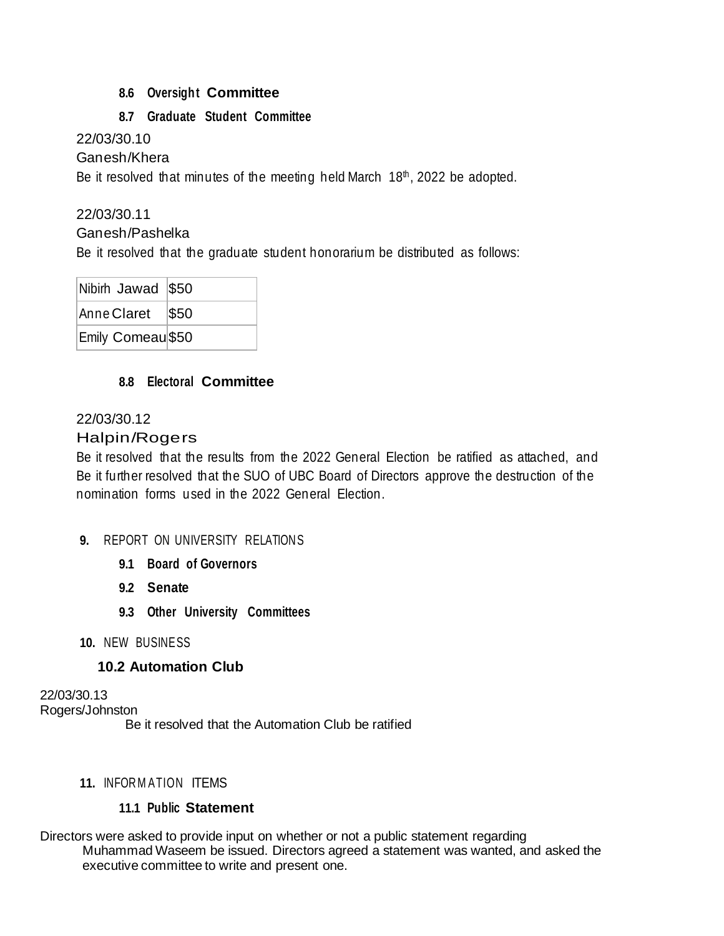### **8.6 Oversight Committee**

### **8.7 Graduate Student Committee**

22/03/30.10

Ganesh/Khera

Be it resolved that minutes of the meeting held March  $18<sup>th</sup>$ , 2022 be adopted.

### 22/03/30.11

Ganesh/Pashelka

Be it resolved that the graduate student honorarium be distributed as follows:

| Nibirh Jawad \$50  |  |
|--------------------|--|
| Anne Claret   \$50 |  |
| Emily Comeau \$50  |  |

### **8.8 Electoral Committee**

### 22/03/30.12

### Halpin/Rogers

Be it resolved that the results from the 2022 General Election be ratified as attached, and Be it further resolved that the SUO of UBC Board of Directors approve the destruction of the nomination forms used in the 2022 General Election.

- **9. REPORT ON UNIVERSITY RELATIONS** 
	- **9.1 Board of Governors**
	- **9.2 Senate**
	- **9.3 Other University Committees**
- **10.** NEW BUSINESS

### **10.2 Automation Club**

22/03/30.13 Rogers/Johnston Be it resolved that the Automation Club be ratified

### **11.** INFOR M ATION ITEMS

### **11.1 Public Statement**

Directors were asked to provide input on whether or not a public statement regarding Muhammad Waseem be issued. Directors agreed a statement was wanted, and asked the executive committee to write and present one.